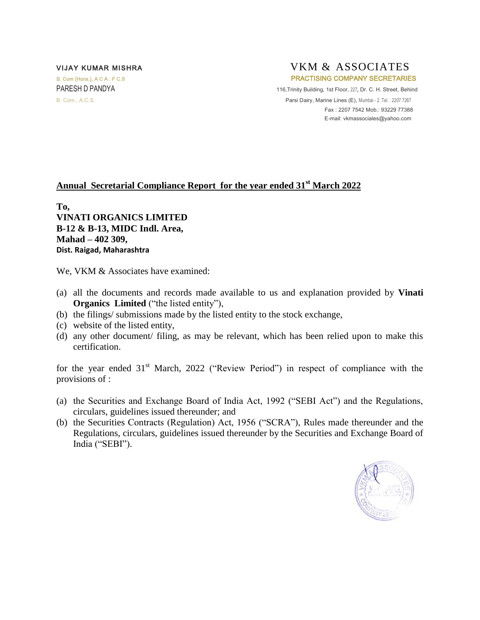## VIJAY KUMAR MISHRA VITALLER VKM & ASSOCIATES B. Com (Hons.), A C A . F C.S **PRACTISING COMPANY SECRETARIES** PARESH D PANDYA 116,Trinity Building, 1st Floor, 227, Dr. C. H. Street, Behind

B. Com., A.C.S. **Parsi Dairy, Marine Lines (E), Mumbai - 2. Tel. : 2207 7267**  Fax : 2207 7542 Mob.: 93229 77388 E-mail[: vkmassociales@yahoo.com](mailto:vkmassociales@yahoo.com) 

## **Annual Secretarial Compliance Report for the year ended 31st March 2022**

**To, VINATI ORGANICS LIMITED B-12 & B-13, MIDC Indl. Area, Mahad – 402 309, Dist. Raigad, Maharashtra** 

We, VKM & Associates have examined:

- (a) all the documents and records made available to us and explanation provided by **Vinati Organics Limited** ("the listed entity"),
- (b) the filings/ submissions made by the listed entity to the stock exchange,
- (c) website of the listed entity,
- (d) any other document/ filing, as may be relevant, which has been relied upon to make this certification.

for the year ended  $31<sup>st</sup>$  March, 2022 ("Review Period") in respect of compliance with the provisions of :

- (a) the Securities and Exchange Board of India Act, 1992 ("SEBI Act") and the Regulations, circulars, guidelines issued thereunder; and
- (b) the Securities Contracts (Regulation) Act, 1956 ("SCRA"), Rules made thereunder and the Regulations, circulars, guidelines issued thereunder by the Securities and Exchange Board of India ("SEBI").

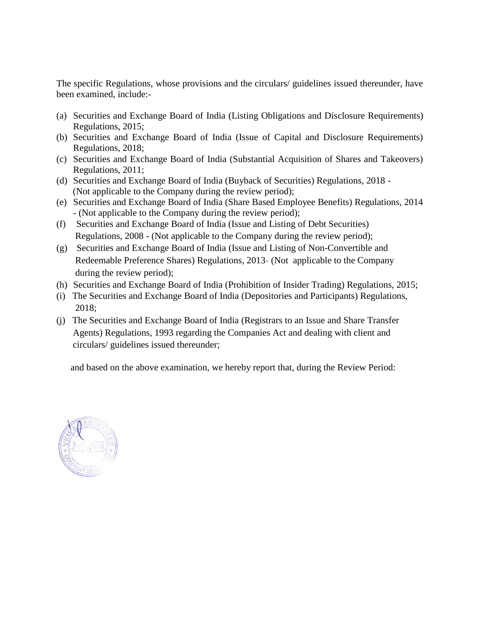The specific Regulations, whose provisions and the circulars/ guidelines issued thereunder, have been examined, include:-

- (a) Securities and Exchange Board of India (Listing Obligations and Disclosure Requirements) Regulations, 2015;
- (b) Securities and Exchange Board of India (Issue of Capital and Disclosure Requirements) Regulations, 2018;
- (c) Securities and Exchange Board of India (Substantial Acquisition of Shares and Takeovers) Regulations, 2011;
- (d) Securities and Exchange Board of India (Buyback of Securities) Regulations, 2018 (Not applicable to the Company during the review period);
- (e) Securities and Exchange Board of India (Share Based Employee Benefits) Regulations, 2014 - (Not applicable to the Company during the review period);
- (f) Securities and Exchange Board of India (Issue and Listing of Debt Securities) Regulations, 2008 - (Not applicable to the Company during the review period);
- (g) Securities and Exchange Board of India (Issue and Listing of Non-Convertible and Redeemable Preference Shares) Regulations, 2013- (Not applicable to the Company during the review period);
- (h) Securities and Exchange Board of India (Prohibition of Insider Trading) Regulations, 2015;
- (i) The Securities and Exchange Board of India (Depositories and Participants) Regulations, 2018;
- (j) The Securities and Exchange Board of India (Registrars to an Issue and Share Transfer Agents) Regulations, 1993 regarding the Companies Act and dealing with client and circulars/ guidelines issued thereunder;

and based on the above examination, we hereby report that, during the Review Period:

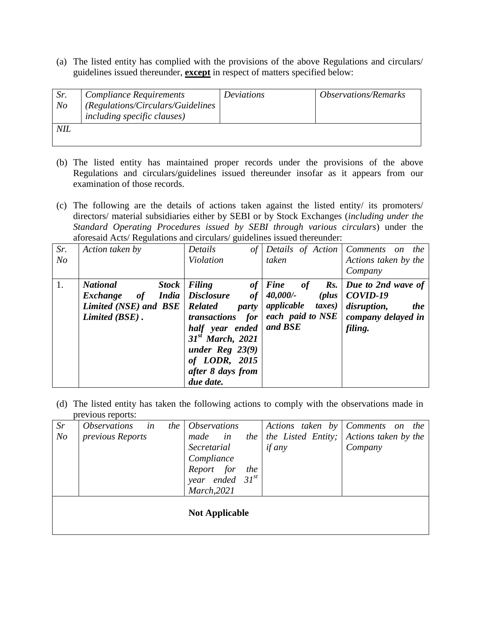(a) The listed entity has complied with the provisions of the above Regulations and circulars/ guidelines issued thereunder, **except** in respect of matters specified below:

| Sr.<br>N <sub>o</sub> | <b>Compliance Requirements</b><br>(Regulations/Circulars/Guidelines<br><i>including specific clauses</i> ) | Deviations | <i><b>Observations/Remarks</b></i> |
|-----------------------|------------------------------------------------------------------------------------------------------------|------------|------------------------------------|
| NIL                   |                                                                                                            |            |                                    |

- (b) The listed entity has maintained proper records under the provisions of the above Regulations and circulars/guidelines issued thereunder insofar as it appears from our examination of those records.
- (c) The following are the details of actions taken against the listed entity/ its promoters/ directors/ material subsidiaries either by SEBI or by Stock Exchanges (*including under the Standard Operating Procedures issued by SEBI through various circulars*) under the aforesaid Acts/ Regulations and circulars/ guidelines issued thereunder:

| Sr.<br>N <sub>O</sub> | Action taken by                                                                                              | Details<br>$\sigma f$<br><b>Violation</b>                                                                                                                                                                            | taken                                                                                                                            | Details of Action   Comments on the<br>Actions taken by the<br>Company                       |
|-----------------------|--------------------------------------------------------------------------------------------------------------|----------------------------------------------------------------------------------------------------------------------------------------------------------------------------------------------------------------------|----------------------------------------------------------------------------------------------------------------------------------|----------------------------------------------------------------------------------------------|
| 1.                    | <b>National</b><br><b>Stock</b><br><b>India</b><br>Exchange<br>of<br>Limited (NSE) and BSE<br>Limited (BSE). | Filing<br>of<br><b>Disclosure</b><br>of<br><b>Related</b><br>party<br>for<br>transactions<br>half year ended<br>31 <sup>st</sup> March, 2021<br>under Reg $23(9)$<br>of LODR, 2015<br>after 8 days from<br>due date. | <b>Fine</b><br>$\mathbf{R}$ s.<br><b>of</b><br>(plus)<br>40,000/-<br>applicable<br><i>taxes</i> )<br>each paid to NSE<br>and BSE | Due to 2nd wave of<br>COVID-19<br>disruption,<br><i>the</i><br>company delayed in<br>filing. |

(d) The listed entity has taken the following actions to comply with the observations made in previous reports:

| Sr                    | <i><b>Observations</b></i> | in<br>the 1 | <i><b>Observations</b></i> |                 |     |               |  |  |         | Actions taken by Comments on the        |  |  |
|-----------------------|----------------------------|-------------|----------------------------|-----------------|-----|---------------|--|--|---------|-----------------------------------------|--|--|
| N <sub>O</sub>        | previous Reports           |             | made                       | in              | the |               |  |  |         | the Listed Entity; Actions taken by the |  |  |
|                       |                            |             | Secretarial                |                 |     | <i>if any</i> |  |  | Company |                                         |  |  |
|                       |                            |             | Compliance                 |                 |     |               |  |  |         |                                         |  |  |
|                       |                            |             | Report for                 |                 | the |               |  |  |         |                                         |  |  |
|                       |                            |             | year                       | ended $31^{st}$ |     |               |  |  |         |                                         |  |  |
|                       |                            |             | March, 2021                |                 |     |               |  |  |         |                                         |  |  |
| <b>Not Applicable</b> |                            |             |                            |                 |     |               |  |  |         |                                         |  |  |